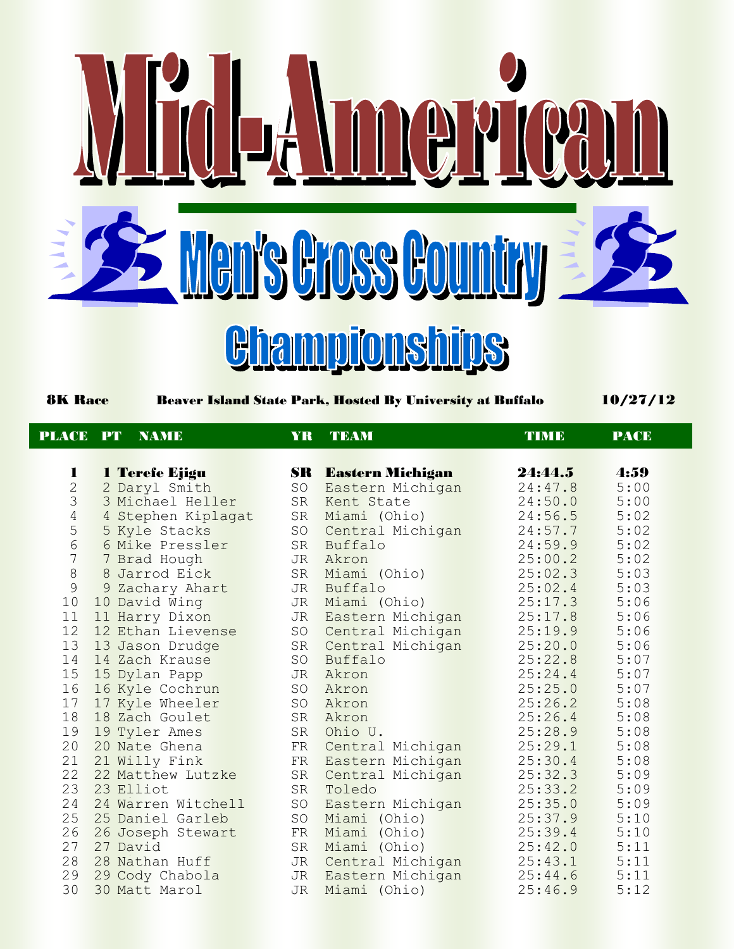

8K Race Beaver Island State Park, Hosted By University at Buffalo 10/27/12

| <b>PLACE</b>                               | PT        | <b>NAME</b>        | YR        | <b>TEAM</b>                | TIME    | <b>PACE</b> |  |
|--------------------------------------------|-----------|--------------------|-----------|----------------------------|---------|-------------|--|
|                                            |           |                    |           |                            |         |             |  |
| 1                                          |           | 1 Terefe Ejigu     |           | <b>SR</b> Eastern Michigan | 24:44.5 | 4:59        |  |
|                                            |           | 2 Daryl Smith      | SO        | Eastern Michigan           | 24:47.8 | 5:00        |  |
| $\begin{array}{c} 2 \\ 3 \\ 4 \end{array}$ |           | 3 Michael Heller   |           | SR Kent State              | 24:50.0 | 5:00        |  |
|                                            |           | 4 Stephen Kiplagat |           | SR Miami (Ohio)            | 24:56.5 | 5:02        |  |
| $\frac{5}{6}$                              |           | 5 Kyle Stacks      |           | SO Central Michigan        | 24:57.7 | 5:02        |  |
| $\overline{7}$                             |           | 6 Mike Pressler    |           | SR Buffalo                 | 24:59.9 | 5:02        |  |
| $\,8\,$                                    |           | 7 Brad Hough       | <b>JR</b> | Akron                      | 25:00.2 | 5:02        |  |
| 9                                          |           | 8 Jarrod Eick      |           | SR Miami (Ohio)            | 25:02.3 | 5:03        |  |
|                                            |           | 9 Zachary Ahart    |           | JR Buffalo                 | 25:02.4 | 5:03        |  |
| 10                                         |           | 10 David Wing      |           | JR Miami (Ohio)            | 25:17.3 | 5:06        |  |
| 11                                         |           | 11 Harry Dixon     |           | JR Eastern Michigan        | 25:17.8 | 5:06        |  |
| 12                                         |           | 12 Ethan Lievense  |           | SO Central Michigan        | 25:19.9 | 5:06        |  |
| 13                                         |           | 13 Jason Drudge    |           | SR Central Michigan        | 25:20.0 | 5:06        |  |
| 14                                         |           | 14 Zach Krause     | SO        | Buffalo                    | 25:22.8 | 5:07        |  |
| 15                                         |           | 15 Dylan Papp      |           | JR Akron                   | 25:24.4 | 5:07        |  |
| 16                                         |           | 16 Kyle Cochrun    |           | SO Akron                   | 25:25.0 | 5:07        |  |
| 17                                         |           | 17 Kyle Wheeler    |           | SO Akron                   | 25:26.2 | 5:08        |  |
| 18                                         |           | 18 Zach Goulet     |           | SR Akron                   | 25:26.4 | 5:08        |  |
| 19                                         |           | 19 Tyler Ames      |           | SR Ohio U.                 | 25:28.9 | 5:08        |  |
| 20                                         |           | 20 Nate Ghena      | FR        | Central Michigan           | 25:29.1 | 5:08        |  |
| 21                                         |           | 21 Willy Fink      | FR        | Eastern Michigan           | 25:30.4 | 5:08        |  |
| 22                                         |           | 22 Matthew Lutzke  |           | SR Central Michigan        | 25:32.3 | 5:09        |  |
| 23                                         | 23 Elliot |                    |           | SR Toledo                  | 25:33.2 | 5:09        |  |
| 24                                         |           | 24 Warren Witchell |           | SO Eastern Michigan        | 25:35.0 | 5:09        |  |
| 25                                         |           | 25 Daniel Garleb   |           | SO Miami (Ohio)            | 25:37.9 | 5:10        |  |
| 26                                         |           | 26 Joseph Stewart  |           | FR Miami (Ohio)            | 25:39.4 | 5:10        |  |
| 27                                         | 27 David  |                    | SR        | Miami (Ohio)               | 25:42.0 | 5:11        |  |
| 28                                         |           | 28 Nathan Huff     |           | JR Central Michigan        | 25:43.1 | 5:11        |  |
| 29                                         |           | 29 Cody Chabola    |           | JR Eastern Michigan        | 25:44.6 | 5:11        |  |
| 30                                         |           | 30 Matt Marol      | <b>JR</b> | Miami (Ohio)               | 25:46.9 | 5:12        |  |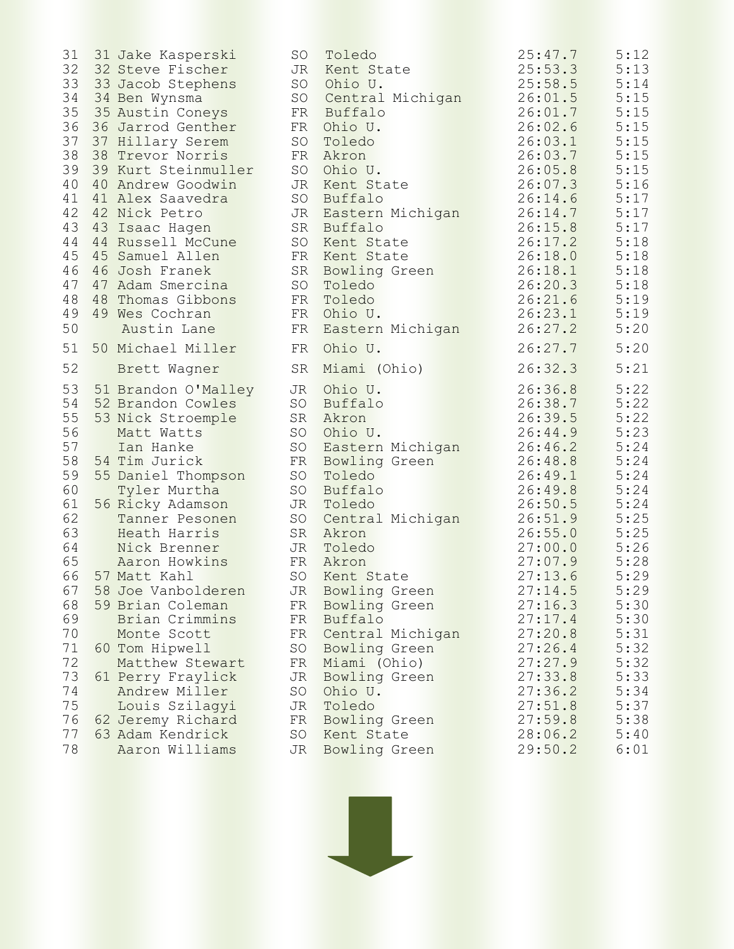31 Jake Kasperski SO Toledo 25:47.7 5:12 32 Steve Fischer JR Kent State 25:53.3 5:13 33 33 Jacob Stephens SO Ohio U. 25:58.5 5:14 34 Ben Wynsma SO Central Michigan 26:01.5 5:15 35 Austin Coneys FR Buffalo 26:01.7 5:15 36 Jarrod Genther FR Ohio U. 26:02.6 5:15 37 Hillary Serem SO Toledo 26:03.1 5:15 38 Trevor Norris FR Akron 26:03.7 5:15 39 Kurt Steinmuller SO Ohio U. 26:05.8 5:15 40 Andrew Goodwin JR Kent State 26:07.3 5:16 41 Alex Saavedra S O Buffalo 26:14.6 5:17 42 Nick Petro JR Eastern Michigan 26:14.7 5:17 43 Isaac Hagen SR Buffalo 26:15.8 5:17 44 Russell McCune SO Kent State 26:17.2 5:18 45 Samuel Allen FR Kent State 26:18.0 5:18 46 Josh Franek SR Bowling Green 26:18.1 5:18 47 Adam Smercina SO Toledo 26:20.3 5:18 48 Thomas Gibbons FR Toledo 26:21.6 5:19 49 Wes Cochran FR Ohio U. 26:23.1 5:19 Austin Lane FR Eastern Michigan 26:27.2 5:20 50 Michael Miller FR Ohio U. 26:27.7 5:20 Brett Wagner SR Miami (Ohio) 26:32.3 5:21 51 Brandon O'Malley JR Ohio U. 26:36.8 5:22 52 Brandon Cowles SO Buffalo 26:38.7 5:22 53 Nick Stroemple SR Akron 26:39.5 5:22 Matt Watts SO Ohio U. 26:44.9 5:23 57 Ian Hanke SO Eastern Michigan 26:46.2 5:24 54 Tim Jurick FR Bowling Green 26:48.8 5:24 55 Daniel Thompson SO Toledo 26:49.1 5:24 Tyler Murtha SO Buffalo 26:49.8 5:24 56 Ricky Adamson JR Toledo 26:50.5 5:24 Tanner Pesonen SO Central Michigan 26:51.9 5:25 Heath Harris SR Akron 26:55.0 5:25 Nick Brenner JR Toledo 27:00.0 5:26 Aaron Howkins FR Akron 27:07.9 5:28 66 57 Matt Kahl SO Kent State 27:13.6 5:29 58 Joe Vanbolderen JR Bowling Green 27:14.5 5:29 59 Brian Coleman FR Bowling Green 27:16.3 5:30 Brian Crimmins FR Buffalo 27:17.4 5:30 70 Monte Scott FR Central Michigan 27:20.8 5:31 60 Tom Hipwell SO Bowling Green 27:26.4 5:32 Matthew Stewart FR Miami (Ohio) 27:27.9 5:32 61 Perry Fraylick JR Bowling Green 27:33.8 5:33 Andrew Miller SO Ohio U. 27:36.2 5:34 Louis Szilagyi JR Toledo 27:51.8 5:37 62 Jeremy Richard FR Bowling Green 27:59.8 5:38 63 Adam Kendrick SO Kent State 28:06.2 5:40 Aaron Williams JR Bowling Green 29:50.2 6:01



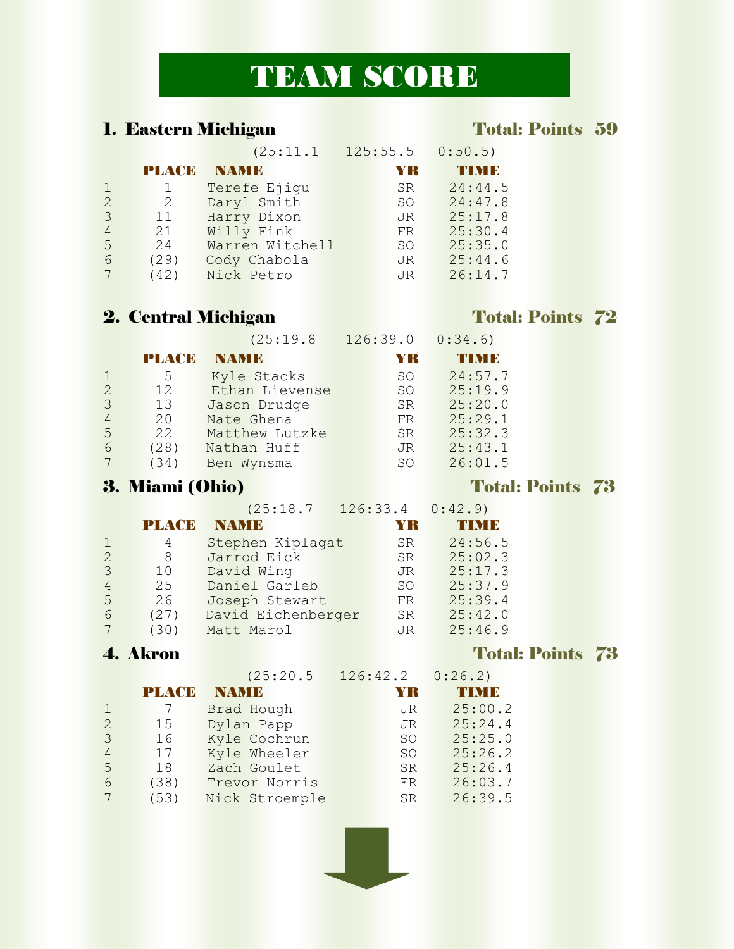# TEAM SCORE

## 1. Eastern Michigan Total: Points 59

|   |               | (25:11.1        | 125:55.5  | 0:50.5  |
|---|---------------|-----------------|-----------|---------|
|   | PLACE         | NAMI B          | YR        | THM I B |
|   |               | Terefe Ejiqu    | <b>SR</b> | 24:44.5 |
| 2 | $\mathcal{L}$ | Daryl Smith     | SO.       | 24:47.8 |
| 3 | 11            | Harry Dixon     | JR.       | 25:17.8 |
| 4 | 21            | Willy Fink      | FR        | 25:30.4 |
| 5 | 2.4           | Warren Witchell | SO.       | 25:35.0 |
| 6 | (29)          | Cody Chabola    | JR        | 25:44.6 |
|   | (42)          | Nick Petro      | JR        | 26:14.7 |

## 2. Central Michigan Total: Points 72

(25:19.8 126:39.0 0:34.6)

|               | PLACE | NAM E          | YK        | 4 мм б  |
|---------------|-------|----------------|-----------|---------|
|               | 5     | Kyle Stacks    | SO.       | 24:57.7 |
| $\mathcal{P}$ | 12    | Ethan Lievense | SO.       | 25:19.9 |
| 3             | 13    | Jason Drudge   | SR.       | 25:20.0 |
| 4             | 20    | Nate Ghena     | FR.       | 25:29.1 |
| 5             | 22    | Matthew Lutzke | <b>SR</b> | 25:32.3 |
| 6             | (28)  | Nathan Huff    | JR        | 25:43.1 |
|               | (34)  | Ben Wynsma     | SO        | 26:01.5 |

### 3. Miami (Ohio) Total: Points 73

(25:18.7 126:33.4 0:42.9)

|   | PLACE | NAMI B             | YK              | <b>THIN IB</b> |
|---|-------|--------------------|-----------------|----------------|
|   | 4     | Stephen Kiplagat   | <b>SR</b>       | 24:56.5        |
|   | 8     | Jarrod Eick        | <b>SR</b>       | 25:02.3        |
|   | 10    | David Wing         | JR              | 25:17.3        |
|   | 2.5   | Daniel Garleb      | SO <sub>2</sub> | 25:37.9        |
| 5 | 26    | Joseph Stewart     | FR              | 25:39.4        |
| 6 | (27)  | David Eichenberger | <b>SR</b>       | 25:42.0        |
|   | (30)  | Matt Marol         | JR              | 25:46.9        |

|                             |       | (25:20.5       | 126:42.2  | 0:26.2) |
|-----------------------------|-------|----------------|-----------|---------|
|                             | PLACE | <b>NAME</b>    | YR        | TIN I B |
|                             |       | Brad Hough     | JR        | 25:00.2 |
| $\mathcal{D}_{\mathcal{L}}$ | 15    | Dylan Papp     | JR.       | 25:24.4 |
| 3                           | 16    | Kyle Cochrun   | SO.       | 25:25.0 |
| 4                           | 17    | Kyle Wheeler   | SO.       | 25:26.2 |
| 5                           | 18    | Zach Goulet    | <b>SR</b> | 25:26.4 |
| 6                           | (38)  | Trevor Norris  | FR        | 26:03.7 |
|                             | (53)  | Nick Stroemple | <b>SR</b> | 26:39.5 |



### **4. Akron** Total: Points 73